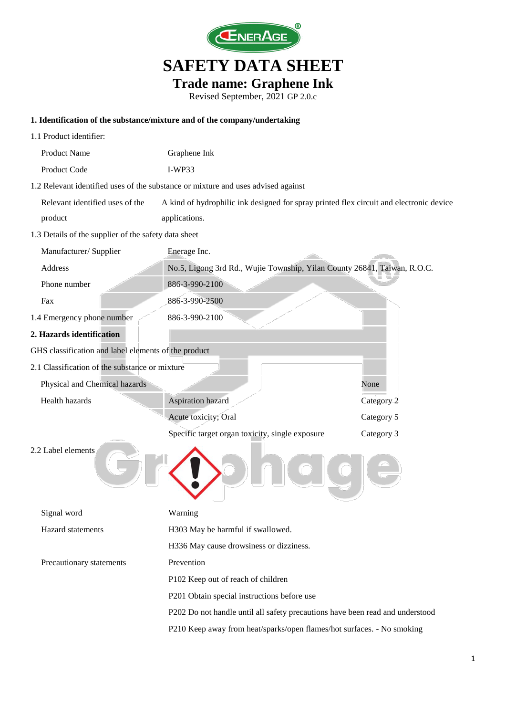

**Trade name: Graphene Ink**

Revised September, 2021 GP 2.0.c

#### **1. Identification of the substance/mixture and of the company/undertaking**

| 1.1 Product identifier:                              |                                                                                         |            |  |  |
|------------------------------------------------------|-----------------------------------------------------------------------------------------|------------|--|--|
| Product Name                                         | Graphene Ink                                                                            |            |  |  |
| Product Code                                         | $I-WP33$                                                                                |            |  |  |
|                                                      | 1.2 Relevant identified uses of the substance or mixture and uses advised against       |            |  |  |
| Relevant identified uses of the                      | A kind of hydrophilic ink designed for spray printed flex circuit and electronic device |            |  |  |
| product                                              | applications.                                                                           |            |  |  |
| 1.3 Details of the supplier of the safety data sheet |                                                                                         |            |  |  |
| Manufacturer/ Supplier                               | Enerage Inc.                                                                            |            |  |  |
| Address                                              | No.5, Ligong 3rd Rd., Wujie Township, Yilan County 26841, Taiwan, R.O.C.                |            |  |  |
| Phone number                                         | 886-3-990-2100                                                                          |            |  |  |
| Fax                                                  | 886-3-990-2500                                                                          |            |  |  |
| 1.4 Emergency phone number                           | 886-3-990-2100                                                                          |            |  |  |
| 2. Hazards identification                            |                                                                                         |            |  |  |
| GHS classification and label elements of the product |                                                                                         |            |  |  |
| 2.1 Classification of the substance or mixture       |                                                                                         |            |  |  |
| Physical and Chemical hazards                        |                                                                                         | None       |  |  |
| Health hazards                                       | Aspiration hazard                                                                       | Category 2 |  |  |
|                                                      | Acute toxicity; Oral                                                                    | Category 5 |  |  |
|                                                      | Specific target organ toxicity, single exposure                                         | Category 3 |  |  |
| 2.2 Label elements                                   |                                                                                         |            |  |  |
| Signal word                                          | Warning                                                                                 |            |  |  |
| Hazard statements                                    | H303 May be harmful if swallowed.                                                       |            |  |  |
|                                                      | H336 May cause drowsiness or dizziness.                                                 |            |  |  |
| Precautionary statements                             | Prevention                                                                              |            |  |  |
|                                                      | P102 Keep out of reach of children                                                      |            |  |  |
|                                                      | P201 Obtain special instructions before use                                             |            |  |  |
|                                                      | P202 Do not handle until all safety precautions have been read and understood           |            |  |  |
|                                                      | P210 Keep away from heat/sparks/open flames/hot surfaces. - No smoking                  |            |  |  |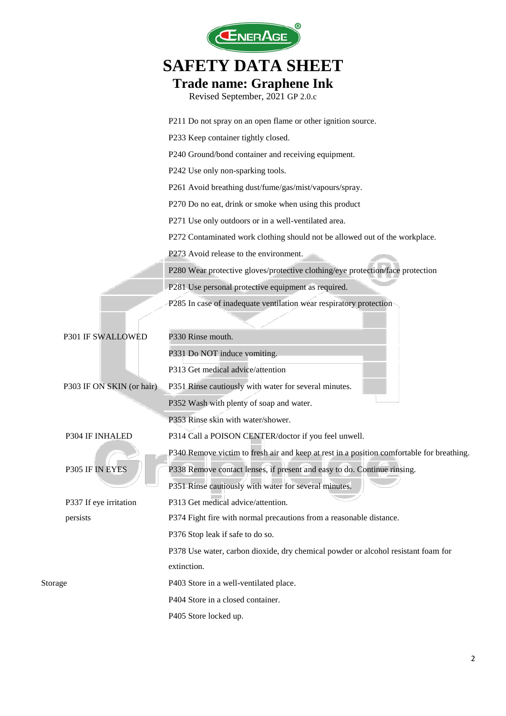|                           | JERAGI                                                                                    |
|---------------------------|-------------------------------------------------------------------------------------------|
|                           | <b>SAFETY DATA SHEET</b>                                                                  |
|                           | <b>Trade name: Graphene Ink</b><br>Revised September, 2021 GP 2.0.c                       |
|                           | P211 Do not spray on an open flame or other ignition source.                              |
|                           | P233 Keep container tightly closed.                                                       |
|                           | P240 Ground/bond container and receiving equipment.                                       |
|                           | P242 Use only non-sparking tools.                                                         |
|                           | P261 Avoid breathing dust/fume/gas/mist/vapours/spray.                                    |
|                           | P270 Do no eat, drink or smoke when using this product                                    |
|                           | P271 Use only outdoors or in a well-ventilated area.                                      |
|                           | P272 Contaminated work clothing should not be allowed out of the workplace.               |
|                           | P273 Avoid release to the environment.                                                    |
|                           | P280 Wear protective gloves/protective clothing/eye protection/face protection            |
|                           | P281 Use personal protective equipment as required.                                       |
|                           | P285 In case of inadequate ventilation wear respiratory protection                        |
| P301 IF SWALLOWED         | P330 Rinse mouth.                                                                         |
|                           | P331 Do NOT induce vomiting.                                                              |
|                           | P313 Get medical advice/attention                                                         |
| P303 IF ON SKIN (or hair) | P351 Rinse cautiously with water for several minutes.                                     |
|                           | P352 Wash with plenty of soap and water.                                                  |
|                           | P353 Rinse skin with water/shower.                                                        |
| P304 IF INHALED           | P314 Call a POISON CENTER/doctor if you feel unwell.                                      |
|                           | P340 Remove victim to fresh air and keep at rest in a position comfortable for breathing. |
| P305 IF IN EYES           | P338 Remove contact lenses, if present and easy to do. Continue rinsing.                  |
|                           | P351 Rinse cautiously with water for several minutes.                                     |
| P337 If eye irritation    | P313 Get medical advice/attention.                                                        |
| persists                  | P374 Fight fire with normal precautions from a reasonable distance.                       |
|                           | P376 Stop leak if safe to do so.                                                          |
|                           | P378 Use water, carbon dioxide, dry chemical powder or alcohol resistant foam for         |
|                           | extinction.                                                                               |
| Storage                   | P403 Store in a well-ventilated place.                                                    |
|                           | P404 Store in a closed container.                                                         |
|                           | P405 Store locked up.                                                                     |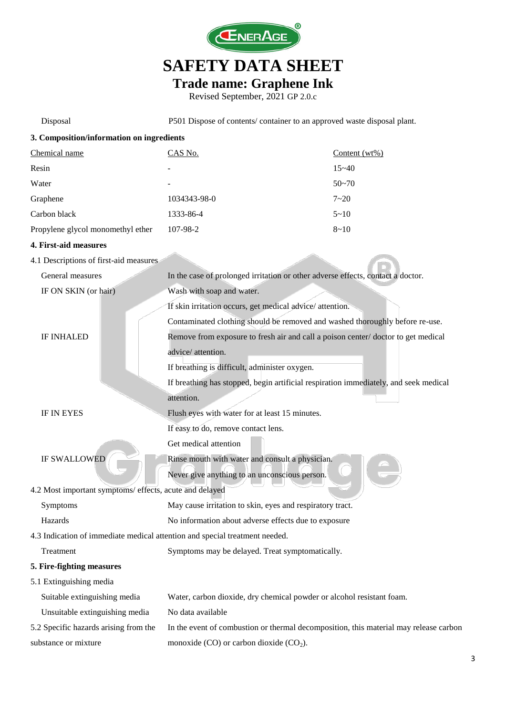

#### **Trade name: Graphene Ink**

| Disposal                                                                    | P501 Dispose of contents/ container to an approved waste disposal plant.              |                  |  |
|-----------------------------------------------------------------------------|---------------------------------------------------------------------------------------|------------------|--|
| 3. Composition/information on ingredients                                   |                                                                                       |                  |  |
| Chemical name                                                               | CAS No.                                                                               | Content $(wt\%)$ |  |
| Resin                                                                       |                                                                                       | $15 - 40$        |  |
| Water                                                                       |                                                                                       | $50 - 70$        |  |
| Graphene                                                                    | 1034343-98-0                                                                          | $7 - 20$         |  |
| Carbon black                                                                | 1333-86-4                                                                             | $5 - 10$         |  |
| Propylene glycol monomethyl ether                                           | 107-98-2                                                                              | $8 - 10$         |  |
| 4. First-aid measures                                                       |                                                                                       |                  |  |
| 4.1 Descriptions of first-aid measures                                      |                                                                                       |                  |  |
| General measures                                                            | In the case of prolonged irritation or other adverse effects, contact a doctor.       |                  |  |
| IF ON SKIN (or hair)                                                        | Wash with soap and water.                                                             |                  |  |
|                                                                             | If skin irritation occurs, get medical advice/attention.                              |                  |  |
|                                                                             | Contaminated clothing should be removed and washed thoroughly before re-use.          |                  |  |
| <b>IF INHALED</b>                                                           | Remove from exposure to fresh air and call a poison center/doctor to get medical      |                  |  |
|                                                                             | advice/ attention.                                                                    |                  |  |
|                                                                             | If breathing is difficult, administer oxygen.                                         |                  |  |
|                                                                             | If breathing has stopped, begin artificial respiration immediately, and seek medical  |                  |  |
|                                                                             | attention.                                                                            |                  |  |
| IF IN EYES                                                                  | Flush eyes with water for at least 15 minutes.                                        |                  |  |
|                                                                             | If easy to do, remove contact lens.                                                   |                  |  |
|                                                                             | Get medical attention                                                                 |                  |  |
| <b>IF SWALLOWED</b>                                                         | Rinse mouth with water and consult a physician.                                       |                  |  |
|                                                                             | Never give anything to an unconscious person.                                         |                  |  |
| 4.2 Most important symptoms/ effects, acute and delayed                     |                                                                                       |                  |  |
| Symptoms                                                                    | May cause irritation to skin, eyes and respiratory tract.                             |                  |  |
| Hazards                                                                     | No information about adverse effects due to exposure                                  |                  |  |
| 4.3 Indication of immediate medical attention and special treatment needed. |                                                                                       |                  |  |
| Treatment                                                                   | Symptoms may be delayed. Treat symptomatically.                                       |                  |  |
| 5. Fire-fighting measures                                                   |                                                                                       |                  |  |
| 5.1 Extinguishing media                                                     |                                                                                       |                  |  |
| Suitable extinguishing media                                                | Water, carbon dioxide, dry chemical powder or alcohol resistant foam.                 |                  |  |
| Unsuitable extinguishing media                                              | No data available                                                                     |                  |  |
| 5.2 Specific hazards arising from the                                       | In the event of combustion or thermal decomposition, this material may release carbon |                  |  |
| substance or mixture                                                        | monoxide $(CO)$ or carbon dioxide $(CO2)$ .                                           |                  |  |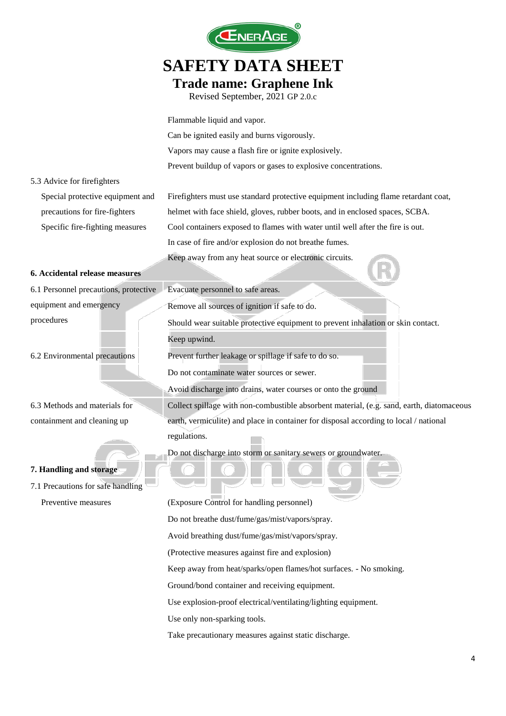

#### **Trade name: Graphene Ink**

Revised September, 2021 GP 2.0.c

Flammable liquid and vapor. Can be ignited easily and burns vigorously. Vapors may cause a flash fire or ignite explosively. Prevent buildup of vapors or gases to explosive concentrations. 5.3 Advice for firefighters Special protective equipment and precautions for fire-fighters Firefighters must use standard protective equipment including flame retardant coat, helmet with face shield, gloves, rubber boots, and in enclosed spaces, SCBA. Specific fire-fighting measures Cool containers exposed to flames with water until well after the fire is out. In case of fire and/or explosion do not breathe fumes. Keep away from any heat source or electronic circuits. **6. Accidental release measures** 6.1 Personnel precautions, protective equipment and emergency procedures Evacuate personnel to safe areas. Remove all sources of ignition if safe to do. Should wear suitable protective equipment to prevent inhalation or skin contact. Keep upwind. 6.2 Environmental precautions Prevent further leakage or spillage if safe to do so. Do not contaminate water sources or sewer. Avoid discharge into drains, water courses or onto the ground 6.3 Methods and materials for containment and cleaning up Collect spillage with non-combustible absorbent material, (e.g. sand, earth, diatomaceous earth, vermiculite) and place in container for disposal according to local / national regulations. Do not discharge into storm or sanitary sewers or groundwater. **7. Handling and storage** 7.1 Precautions for safe handling Preventive measures (Exposure Control for handling personnel) Do not breathe dust/fume/gas/mist/vapors/spray. Avoid breathing dust/fume/gas/mist/vapors/spray.

(Protective measures against fire and explosion)

Keep away from heat/sparks/open flames/hot surfaces. - No smoking.

Ground/bond container and receiving equipment.

Use explosion-proof electrical/ventilating/lighting equipment.

Use only non-sparking tools.

Take precautionary measures against static discharge.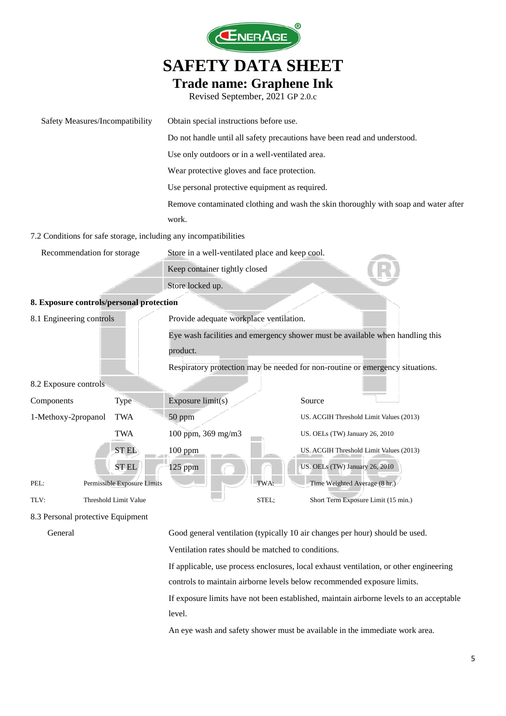

#### **Trade name: Graphene Ink**

Revised September, 2021 GP 2.0.c

| Safety Measures/Incompatibility          |                                                                               | Obtain special instructions before use.                                   |            |                                                                                     |
|------------------------------------------|-------------------------------------------------------------------------------|---------------------------------------------------------------------------|------------|-------------------------------------------------------------------------------------|
|                                          |                                                                               | Do not handle until all safety precautions have been read and understood. |            |                                                                                     |
|                                          |                                                                               | Use only outdoors or in a well-ventilated area.                           |            |                                                                                     |
|                                          |                                                                               | Wear protective gloves and face protection.                               |            |                                                                                     |
|                                          |                                                                               | Use personal protective equipment as required.                            |            |                                                                                     |
|                                          |                                                                               |                                                                           |            | Remove contaminated clothing and wash the skin thoroughly with soap and water after |
|                                          |                                                                               | work.                                                                     |            |                                                                                     |
|                                          |                                                                               | 7.2 Conditions for safe storage, including any incompatibilities          |            |                                                                                     |
| Recommendation for storage               |                                                                               | Store in a well-ventilated place and keep cool.                           |            |                                                                                     |
|                                          |                                                                               | Keep container tightly closed                                             |            |                                                                                     |
|                                          |                                                                               | Store locked up.                                                          |            |                                                                                     |
| 8. Exposure controls/personal protection |                                                                               |                                                                           |            |                                                                                     |
| 8.1 Engineering controls                 |                                                                               | Provide adequate workplace ventilation.                                   |            |                                                                                     |
|                                          |                                                                               |                                                                           |            | Eye wash facilities and emergency shower must be available when handling this       |
|                                          |                                                                               | product.                                                                  |            |                                                                                     |
|                                          | Respiratory protection may be needed for non-routine or emergency situations. |                                                                           |            |                                                                                     |
| 8.2 Exposure controls                    |                                                                               |                                                                           |            |                                                                                     |
| Components                               | <b>Type</b>                                                                   | Exposure limit(s)                                                         |            | Source                                                                              |
| 1-Methoxy-2propanol                      | <b>TWA</b>                                                                    | 50 ppm                                                                    |            | US. ACGIH Threshold Limit Values (2013)                                             |
|                                          | <b>TWA</b>                                                                    | 100 ppm, 369 mg/m3                                                        |            | US. OELs (TW) January 26, 2010                                                      |
|                                          | <b>STEL</b>                                                                   | 100 ppm                                                                   |            | US. ACGIH Threshold Limit Values (2013)                                             |
|                                          | <b>STEL</b>                                                                   | $125$ ppm                                                                 |            | US. OELs (TW) January 26, 2010                                                      |
| PEL:                                     | Permissible Exposure Limits                                                   |                                                                           | <b>TWA</b> | Time Weighted Average (8 hr.)                                                       |
| TLV:                                     | Threshold Limit Value                                                         |                                                                           | STEL;      | Short Term Exposure Limit (15 min.)                                                 |
| 8.3 Personal protective Equipment        |                                                                               |                                                                           |            |                                                                                     |
|                                          |                                                                               |                                                                           |            |                                                                                     |

General Good general ventilation (typically 10 air changes per hour) should be used.

Ventilation rates should be matched to conditions.

If applicable, use process enclosures, local exhaust ventilation, or other engineering controls to maintain airborne levels below recommended exposure limits.

If exposure limits have not been established, maintain airborne levels to an acceptable level.

An eye wash and safety shower must be available in the immediate work area.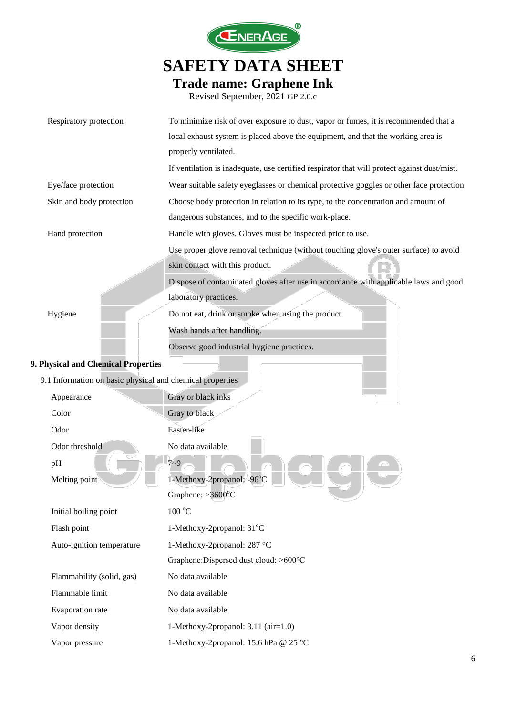

### **SAFETY DATA SHEET Trade name: Graphene Ink**

| Revised September, 2021 GP 2.0.c |  |  |
|----------------------------------|--|--|
|----------------------------------|--|--|

| Respiratory protection                                    | To minimize risk of over exposure to dust, vapor or fumes, it is recommended that a         |
|-----------------------------------------------------------|---------------------------------------------------------------------------------------------|
|                                                           | local exhaust system is placed above the equipment, and that the working area is            |
|                                                           | properly ventilated.                                                                        |
|                                                           | If ventilation is inadequate, use certified respirator that will protect against dust/mist. |
| Eye/face protection                                       | Wear suitable safety eyeglasses or chemical protective goggles or other face protection.    |
| Skin and body protection                                  | Choose body protection in relation to its type, to the concentration and amount of          |
|                                                           | dangerous substances, and to the specific work-place.                                       |
| Hand protection                                           | Handle with gloves. Gloves must be inspected prior to use.                                  |
|                                                           | Use proper glove removal technique (without touching glove's outer surface) to avoid        |
|                                                           | skin contact with this product.                                                             |
|                                                           | Dispose of contaminated gloves after use in accordance with applicable laws and good        |
|                                                           | laboratory practices.                                                                       |
| Hygiene                                                   | Do not eat, drink or smoke when using the product.                                          |
|                                                           | Wash hands after handling.                                                                  |
|                                                           | Observe good industrial hygiene practices.                                                  |
| 9. Physical and Chemical Properties                       |                                                                                             |
| 9.1 Information on basic physical and chemical properties |                                                                                             |
| Appearance                                                | Gray or black inks                                                                          |
| Color                                                     | Gray to black                                                                               |
| Odor                                                      | Easter-like                                                                                 |
| Odor threshold                                            | No data available                                                                           |
| pH                                                        | $7 - 9$                                                                                     |
| Melting point                                             | 1-Methoxy-2propanol: -96°C                                                                  |
|                                                           | Graphene: $>3600^{\circ}$ C                                                                 |
| Initial boiling point                                     | $100\text{ °C}$                                                                             |
| Flash point                                               | 1-Methoxy-2propanol: 31°C                                                                   |
| Auto-ignition temperature                                 | 1-Methoxy-2propanol: 287 °C                                                                 |
|                                                           | Graphene: Dispersed dust cloud: >600°C                                                      |
| Flammability (solid, gas)                                 | No data available                                                                           |
| Flammable limit                                           | No data available                                                                           |
| Evaporation rate                                          | No data available                                                                           |
| Vapor density                                             | 1-Methoxy-2propanol: 3.11 (air=1.0)                                                         |
| Vapor pressure                                            | 1-Methoxy-2propanol: 15.6 hPa @ 25 °C                                                       |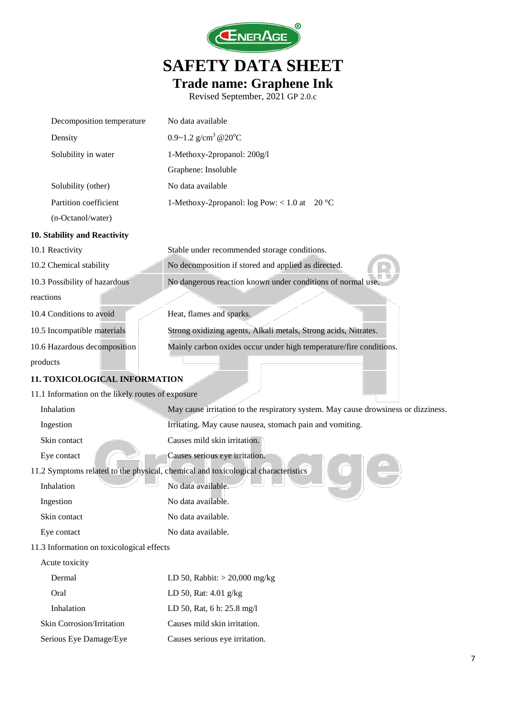

**Trade name: Graphene Ink**

| Decomposition temperature                         | No data available                                                                  |
|---------------------------------------------------|------------------------------------------------------------------------------------|
| Density                                           | 0.9~1.2 $g/cm^3$ @20°C                                                             |
| Solubility in water                               | 1-Methoxy-2propanol: 200g/l                                                        |
|                                                   | Graphene: Insoluble                                                                |
| Solubility (other)                                | No data available                                                                  |
| Partition coefficient                             | 1-Methoxy-2propanol: log Pow: < 1.0 at 20 $^{\circ}$ C                             |
| (n-Octanol/water)                                 |                                                                                    |
| 10. Stability and Reactivity                      |                                                                                    |
| 10.1 Reactivity                                   | Stable under recommended storage conditions.                                       |
| 10.2 Chemical stability                           | No decomposition if stored and applied as directed.                                |
| 10.3 Possibility of hazardous                     | No dangerous reaction known under conditions of normal use                         |
| reactions                                         |                                                                                    |
| 10.4 Conditions to avoid                          | Heat, flames and sparks.                                                           |
| 10.5 Incompatible materials                       | Strong oxidizing agents, Alkali metals, Strong acids, Nitrates.                    |
| 10.6 Hazardous decomposition                      | Mainly carbon oxides occur under high temperature/fire conditions.                 |
| products                                          |                                                                                    |
| 11. TOXICOLOGICAL INFORMATION                     |                                                                                    |
| 11.1 Information on the likely routes of exposure |                                                                                    |
| Inhalation                                        | May cause irritation to the respiratory system. May cause drowsiness or dizziness. |
| Ingestion                                         | Irritating. May cause nausea, stomach pain and vomiting.                           |
| Skin contact                                      | Causes mild skin irritation.                                                       |
| Eye contact                                       | Causes serious eye irritation.                                                     |
|                                                   | 11.2 Symptoms related to the physical, chemical and toxicological characteristics  |
| Inhalation                                        | No data available.                                                                 |
| Ingestion                                         | No data available.                                                                 |
| Skin contact                                      | No data available.                                                                 |
| Eye contact                                       | No data available.                                                                 |
| 11.3 Information on toxicological effects         |                                                                                    |
| Acute toxicity                                    |                                                                                    |
| Dermal                                            | LD 50, Rabbit: $>$ 20,000 mg/kg                                                    |
| Oral                                              | LD 50, Rat: 4.01 g/kg                                                              |
| Inhalation                                        | LD 50, Rat, 6 h: 25.8 mg/l                                                         |
| Skin Corrosion/Irritation                         | Causes mild skin irritation.                                                       |
| Serious Eye Damage/Eye                            | Causes serious eye irritation.                                                     |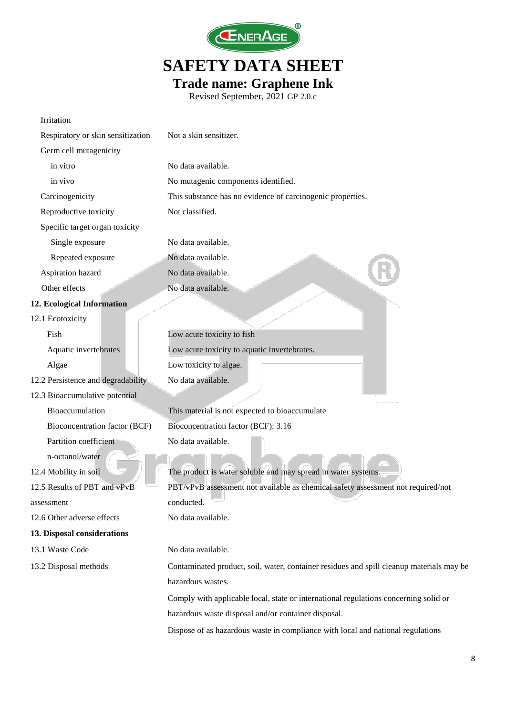

### **SAFETY DATA SHEET Trade name: Graphene Ink**

| Irritation                         |                                                                                          |
|------------------------------------|------------------------------------------------------------------------------------------|
| Respiratory or skin sensitization  | Not a skin sensitizer.                                                                   |
| Germ cell mutagenicity             |                                                                                          |
| in vitro                           | No data available.                                                                       |
| in vivo                            | No mutagenic components identified.                                                      |
| Carcinogenicity                    | This substance has no evidence of carcinogenic properties.                               |
| Reproductive toxicity              | Not classified.                                                                          |
| Specific target organ toxicity     |                                                                                          |
| Single exposure                    | No data available.                                                                       |
| Repeated exposure                  | No data available.                                                                       |
| Aspiration hazard                  | No data available.                                                                       |
| Other effects                      | No data available.                                                                       |
| 12. Ecological Information         |                                                                                          |
| 12.1 Ecotoxicity                   |                                                                                          |
| Fish                               | Low acute toxicity to fish                                                               |
| Aquatic invertebrates              | Low acute toxicity to aquatic invertebrates.                                             |
| Algae                              | Low toxicity to algae.                                                                   |
| 12.2 Persistence and degradability | No data available.                                                                       |
| 12.3 Bioaccumulative potential     |                                                                                          |
| Bioaccumulation                    | This material is not expected to bioaccumulate                                           |
| Bioconcentration factor (BCF)      | Bioconcentration factor (BCF): 3.16                                                      |
| Partition coefficient              | No data available.                                                                       |
| n-octanol/water                    |                                                                                          |
| 12.4 Mobility in soil              | The product is water soluble and may spread in water systems.                            |
| 12.5 Results of PBT and vPvB       | PBT/vPvB assessment not available as chemical safety assessment not required/not         |
| assessment                         | conducted.                                                                               |
| 12.6 Other adverse effects         | No data available.                                                                       |
| 13. Disposal considerations        |                                                                                          |
| 13.1 Waste Code                    | No data available.                                                                       |
| 13.2 Disposal methods              | Contaminated product, soil, water, container residues and spill cleanup materials may be |
|                                    | hazardous wastes.                                                                        |
|                                    | Comply with applicable local, state or international regulations concerning solid or     |
|                                    | hazardous waste disposal and/or container disposal.                                      |
|                                    | Dispose of as hazardous waste in compliance with local and national regulations          |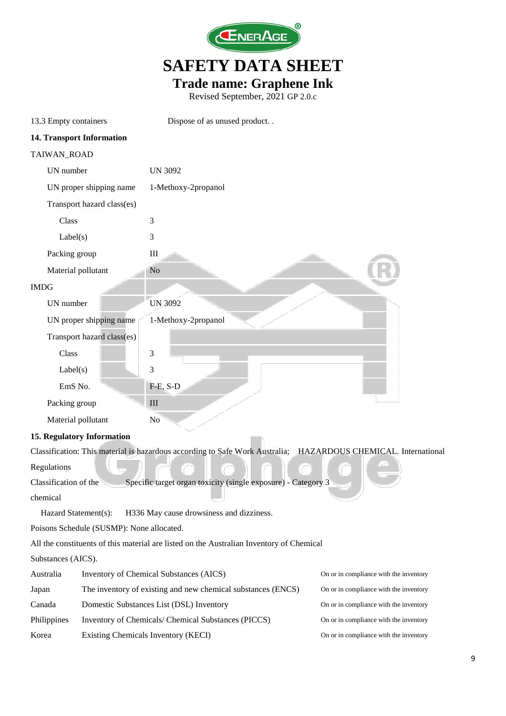

**Trade name: Graphene Ink**

| 13.3 Empty containers |                                           | Dispose of as unused product                                                                                   |                                        |
|-----------------------|-------------------------------------------|----------------------------------------------------------------------------------------------------------------|----------------------------------------|
|                       | 14. Transport Information                 |                                                                                                                |                                        |
| TAIWAN_ROAD           |                                           |                                                                                                                |                                        |
| UN number             |                                           | <b>UN 3092</b>                                                                                                 |                                        |
|                       | UN proper shipping name                   | 1-Methoxy-2propanol                                                                                            |                                        |
|                       | Transport hazard class(es)                |                                                                                                                |                                        |
| Class                 |                                           | 3                                                                                                              |                                        |
| Label(s)              |                                           | 3                                                                                                              |                                        |
| Packing group         |                                           | $\rm III$                                                                                                      |                                        |
|                       | Material pollutant                        | No                                                                                                             |                                        |
| <b>IMDG</b>           |                                           |                                                                                                                |                                        |
| UN number             |                                           | <b>UN 3092</b>                                                                                                 |                                        |
|                       | UN proper shipping name                   | 1-Methoxy-2propanol                                                                                            |                                        |
|                       | Transport hazard class(es)                |                                                                                                                |                                        |
| Class                 |                                           | 3                                                                                                              |                                        |
| Label(s)              |                                           | 3                                                                                                              |                                        |
| EmS No.               |                                           | $F-E$ , S-D                                                                                                    |                                        |
| Packing group         |                                           | III                                                                                                            |                                        |
|                       | Material pollutant                        | No                                                                                                             |                                        |
|                       | 15. Regulatory Information                |                                                                                                                |                                        |
|                       |                                           | Classification: This material is hazardous according to Safe Work Australia; HAZARDOUS CHEMICAL. International |                                        |
| Regulations           |                                           |                                                                                                                |                                        |
| Classification of the |                                           | Specific target organ toxicity (single exposure) - Category 3                                                  |                                        |
| chemical              |                                           |                                                                                                                |                                        |
|                       | Hazard Statement(s):                      | H336 May cause drowsiness and dizziness.                                                                       |                                        |
|                       | Poisons Schedule (SUSMP): None allocated. |                                                                                                                |                                        |
|                       |                                           | All the constituents of this material are listed on the Australian Inventory of Chemical                       |                                        |
| Substances (AICS).    |                                           |                                                                                                                |                                        |
| Australia             |                                           | Inventory of Chemical Substances (AICS)                                                                        | On or in compliance with the inventory |
| Japan                 |                                           | The inventory of existing and new chemical substances (ENCS)                                                   | On or in compliance with the inventory |
| Canada                |                                           | Domestic Substances List (DSL) Inventory                                                                       | On or in compliance with the inventory |
| Philippines           |                                           | Inventory of Chemicals/ Chemical Substances (PICCS)                                                            | On or in compliance with the inventory |
| Korea                 |                                           | Existing Chemicals Inventory (KECI)                                                                            | On or in compliance with the inventory |